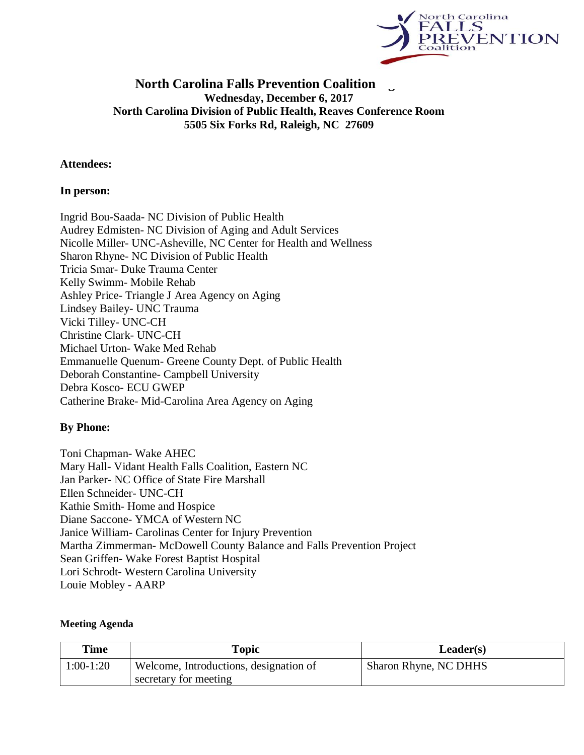

## **North Carolina Falls Prevention Coalition Wednesday, December 6, 2017 North Carolina Division of Public Health, Reaves Conference Room 5505 Six Forks Rd, Raleigh, NC 27609**

#### **Attendees:**

#### **In person:**

Ingrid Bou-Saada- NC Division of Public Health Audrey Edmisten- NC Division of Aging and Adult Services Nicolle Miller- UNC-Asheville, NC Center for Health and Wellness Sharon Rhyne- NC Division of Public Health Tricia Smar- Duke Trauma Center Kelly Swimm- Mobile Rehab Ashley Price- Triangle J Area Agency on Aging Lindsey Bailey- UNC Trauma Vicki Tilley- UNC-CH Christine Clark- UNC-CH Michael Urton- Wake Med Rehab Emmanuelle Quenum- Greene County Dept. of Public Health Deborah Constantine- Campbell University Debra Kosco- ECU GWEP Catherine Brake- Mid-Carolina Area Agency on Aging

## **By Phone:**

Toni Chapman- Wake AHEC Mary Hall- Vidant Health Falls Coalition, Eastern NC Jan Parker- NC Office of State Fire Marshall Ellen Schneider- UNC-CH Kathie Smith- Home and Hospice Diane Saccone- YMCA of Western NC Janice William- Carolinas Center for Injury Prevention Martha Zimmerman- McDowell County Balance and Falls Prevention Project Sean Griffen- Wake Forest Baptist Hospital Lori Schrodt- Western Carolina University Louie Mobley - AARP

#### **Meeting Agenda**

| Time        | Topic                                  | Leader(s)             |
|-------------|----------------------------------------|-----------------------|
| $1:00-1:20$ | Welcome, Introductions, designation of | Sharon Rhyne, NC DHHS |
|             | secretary for meeting                  |                       |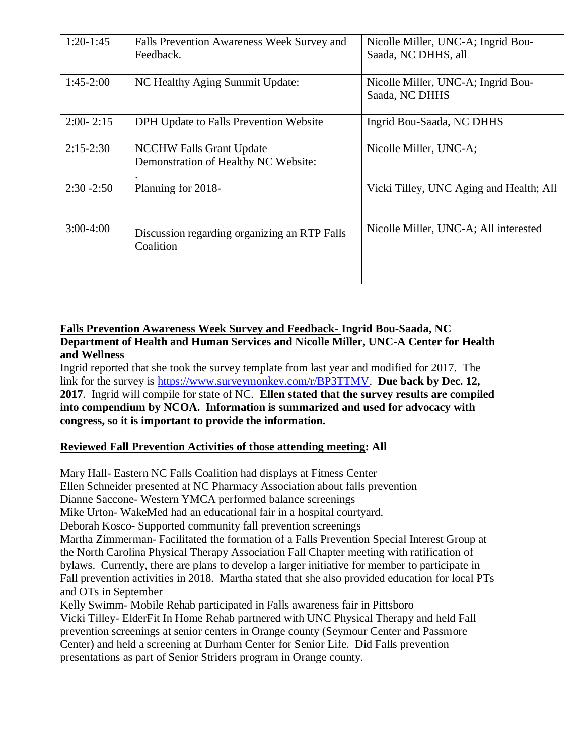| $1:20-1:45$   | Falls Prevention Awareness Week Survey and<br>Feedback.                 | Nicolle Miller, UNC-A; Ingrid Bou-<br>Saada, NC DHHS, all |
|---------------|-------------------------------------------------------------------------|-----------------------------------------------------------|
| $1:45-2:00$   | NC Healthy Aging Summit Update:                                         | Nicolle Miller, UNC-A; Ingrid Bou-<br>Saada, NC DHHS      |
| $2:00 - 2:15$ | DPH Update to Falls Prevention Website                                  | Ingrid Bou-Saada, NC DHHS                                 |
| $2:15-2:30$   | <b>NCCHW Falls Grant Update</b><br>Demonstration of Healthy NC Website: | Nicolle Miller, UNC-A;                                    |
| $2:30 - 2:50$ | Planning for 2018-                                                      | Vicki Tilley, UNC Aging and Health; All                   |
| $3:00-4:00$   | Discussion regarding organizing an RTP Falls<br>Coalition               | Nicolle Miller, UNC-A; All interested                     |

## **Falls Prevention Awareness Week Survey and Feedback- Ingrid Bou-Saada, NC Department of Health and Human Services and Nicolle Miller, UNC-A Center for Health and Wellness**

Ingrid reported that she took the survey template from last year and modified for 2017. The link for the survey is [https://www.surveymonkey.com/r/BP3TTMV.](https://www.surveymonkey.com/r/BP3TTMV) **Due back by Dec. 12, 2017**. Ingrid will compile for state of NC. **Ellen stated that the survey results are compiled into compendium by NCOA. Information is summarized and used for advocacy with congress, so it is important to provide the information.** 

# **Reviewed Fall Prevention Activities of those attending meeting: All**

Mary Hall- Eastern NC Falls Coalition had displays at Fitness Center Ellen Schneider presented at NC Pharmacy Association about falls prevention Dianne Saccone- Western YMCA performed balance screenings Mike Urton- WakeMed had an educational fair in a hospital courtyard. Deborah Kosco- Supported community fall prevention screenings Martha Zimmerman- Facilitated the formation of a Falls Prevention Special Interest Group at the North Carolina Physical Therapy Association Fall Chapter meeting with ratification of bylaws. Currently, there are plans to develop a larger initiative for member to participate in Fall prevention activities in 2018. Martha stated that she also provided education for local PTs and OTs in September Kelly Swimm- Mobile Rehab participated in Falls awareness fair in Pittsboro Vicki Tilley- ElderFit In Home Rehab partnered with UNC Physical Therapy and held Fall prevention screenings at senior centers in Orange county (Seymour Center and Passmore

Center) and held a screening at Durham Center for Senior Life. Did Falls prevention presentations as part of Senior Striders program in Orange county.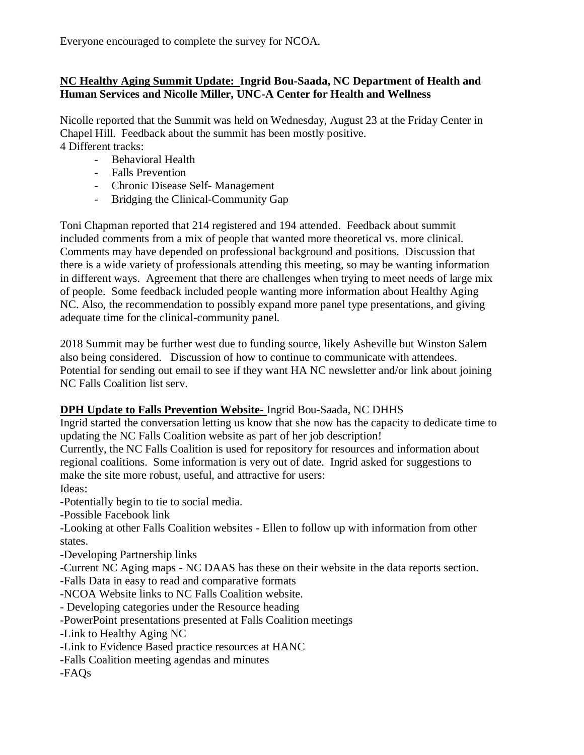Everyone encouraged to complete the survey for NCOA.

## **NC Healthy Aging Summit Update: Ingrid Bou-Saada, NC Department of Health and Human Services and Nicolle Miller, UNC-A Center for Health and Wellness**

Nicolle reported that the Summit was held on Wednesday, August 23 at the Friday Center in Chapel Hill. Feedback about the summit has been mostly positive. 4 Different tracks:

- Behavioral Health
- Falls Prevention
- Chronic Disease Self- Management
- Bridging the Clinical-Community Gap

Toni Chapman reported that 214 registered and 194 attended. Feedback about summit included comments from a mix of people that wanted more theoretical vs. more clinical. Comments may have depended on professional background and positions. Discussion that there is a wide variety of professionals attending this meeting, so may be wanting information in different ways. Agreement that there are challenges when trying to meet needs of large mix of people. Some feedback included people wanting more information about Healthy Aging NC. Also, the recommendation to possibly expand more panel type presentations, and giving adequate time for the clinical-community panel.

2018 Summit may be further west due to funding source, likely Asheville but Winston Salem also being considered. Discussion of how to continue to communicate with attendees. Potential for sending out email to see if they want HA NC newsletter and/or link about joining NC Falls Coalition list serv.

# **DPH Update to Falls Prevention Website-** Ingrid Bou-Saada, NC DHHS

Ingrid started the conversation letting us know that she now has the capacity to dedicate time to updating the NC Falls Coalition website as part of her job description!

Currently, the NC Falls Coalition is used for repository for resources and information about regional coalitions. Some information is very out of date. Ingrid asked for suggestions to make the site more robust, useful, and attractive for users:

Ideas:

-Potentially begin to tie to social media.

-Possible Facebook link

-Looking at other Falls Coalition websites - Ellen to follow up with information from other states.

-Developing Partnership links

-Current NC Aging maps - NC DAAS has these on their website in the data reports section.

-Falls Data in easy to read and comparative formats

-NCOA Website links to NC Falls Coalition website.

- Developing categories under the Resource heading

-PowerPoint presentations presented at Falls Coalition meetings

-Link to Healthy Aging NC

-Link to Evidence Based practice resources at HANC

-Falls Coalition meeting agendas and minutes

-FAQs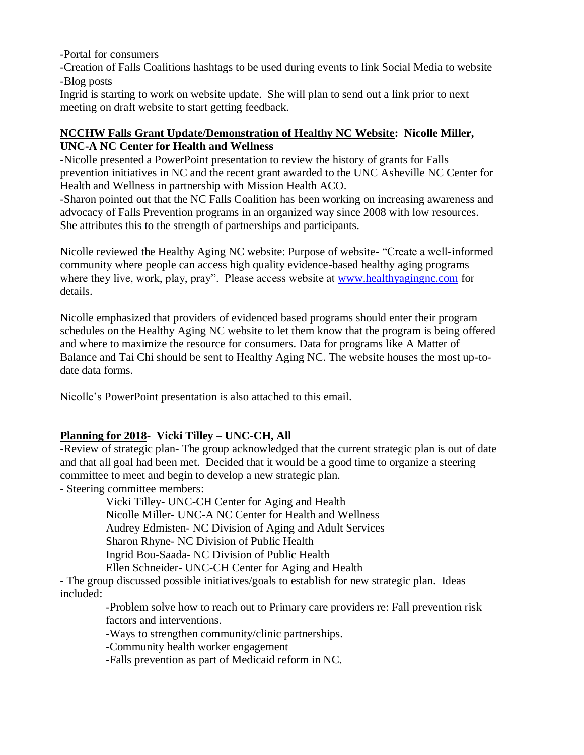-Portal for consumers

-Creation of Falls Coalitions hashtags to be used during events to link Social Media to website -Blog posts

Ingrid is starting to work on website update. She will plan to send out a link prior to next meeting on draft website to start getting feedback.

#### **NCCHW Falls Grant Update/Demonstration of Healthy NC Website: Nicolle Miller, UNC-A NC Center for Health and Wellness**

-Nicolle presented a PowerPoint presentation to review the history of grants for Falls prevention initiatives in NC and the recent grant awarded to the UNC Asheville NC Center for Health and Wellness in partnership with Mission Health ACO.

-Sharon pointed out that the NC Falls Coalition has been working on increasing awareness and advocacy of Falls Prevention programs in an organized way since 2008 with low resources. She attributes this to the strength of partnerships and participants.

Nicolle reviewed the Healthy Aging NC website: Purpose of website- "Create a well-informed community where people can access high quality evidence-based healthy aging programs where they live, work, play, pray". Please access website at [www.healthyagingnc.com](http://www.healthyagingnc.com/) for details.

Nicolle emphasized that providers of evidenced based programs should enter their program schedules on the Healthy Aging NC website to let them know that the program is being offered and where to maximize the resource for consumers. Data for programs like A Matter of Balance and Tai Chi should be sent to Healthy Aging NC. The website houses the most up-todate data forms.

Nicolle's PowerPoint presentation is also attached to this email.

## **Planning for 2018- Vicki Tilley – UNC-CH, All**

-Review of strategic plan- The group acknowledged that the current strategic plan is out of date and that all goal had been met. Decided that it would be a good time to organize a steering committee to meet and begin to develop a new strategic plan.

- Steering committee members:

Vicki Tilley- UNC-CH Center for Aging and Health Nicolle Miller- UNC-A NC Center for Health and Wellness Audrey Edmisten- NC Division of Aging and Adult Services Sharon Rhyne- NC Division of Public Health Ingrid Bou-Saada- NC Division of Public Health Ellen Schneider- UNC-CH Center for Aging and Health

- The group discussed possible initiatives/goals to establish for new strategic plan. Ideas included:

> -Problem solve how to reach out to Primary care providers re: Fall prevention risk factors and interventions.

-Ways to strengthen community/clinic partnerships.

-Community health worker engagement

-Falls prevention as part of Medicaid reform in NC.